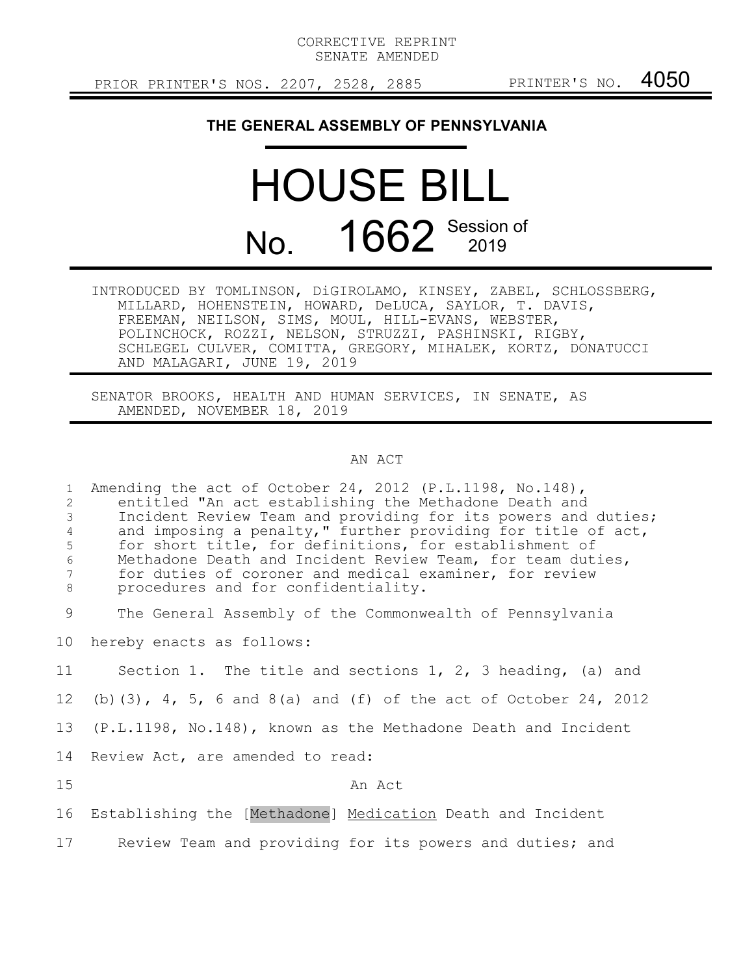CORRECTIVE REPRINT SENATE AMENDED

PRIOR PRINTER'S NOS. 2207, 2528, 2885 PRINTER'S NO. 4050

## **THE GENERAL ASSEMBLY OF PENNSYLVANIA**

## HOUSE BILL No. 1662 Session of

INTRODUCED BY TOMLINSON, DiGIROLAMO, KINSEY, ZABEL, SCHLOSSBERG, MILLARD, HOHENSTEIN, HOWARD, DeLUCA, SAYLOR, T. DAVIS, FREEMAN, NEILSON, SIMS, MOUL, HILL-EVANS, WEBSTER, POLINCHOCK, ROZZI, NELSON, STRUZZI, PASHINSKI, RIGBY, SCHLEGEL CULVER, COMITTA, GREGORY, MIHALEK, KORTZ, DONATUCCI AND MALAGARI, JUNE 19, 2019

SENATOR BROOKS, HEALTH AND HUMAN SERVICES, IN SENATE, AS AMENDED, NOVEMBER 18, 2019

## AN ACT

Amending the act of October 24, 2012 (P.L.1198, No.148), entitled "An act establishing the Methadone Death and Incident Review Team and providing for its powers and duties; and imposing a penalty," further providing for title of act, for short title, for definitions, for establishment of Methadone Death and Incident Review Team, for team duties, for duties of coroner and medical examiner, for review procedures and for confidentiality. The General Assembly of the Commonwealth of Pennsylvania hereby enacts as follows: Section 1. The title and sections 1, 2, 3 heading, (a) and (b)(3), 4, 5, 6 and 8(a) and (f) of the act of October 24, 2012 (P.L.1198, No.148), known as the Methadone Death and Incident Review Act, are amended to read: An Act Establishing the [Methadone] Medication Death and Incident Review Team and providing for its powers and duties; and 1 2 3 4 5 6 7 8 9 10 11 12 13 14 15 16 17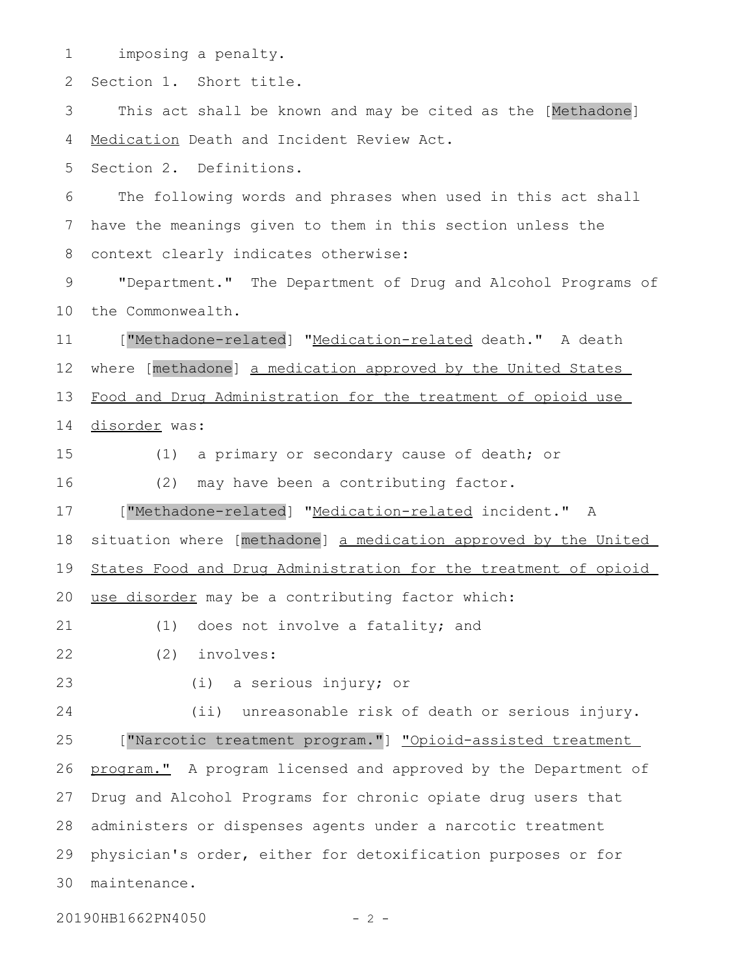imposing a penalty. Section 1. Short title. This act shall be known and may be cited as the [Methadone] Medication Death and Incident Review Act. Section 2. Definitions. The following words and phrases when used in this act shall have the meanings given to them in this section unless the context clearly indicates otherwise: "Department." The Department of Drug and Alcohol Programs of the Commonwealth. ["Methadone-related] "Medication-related death." A death where [methadone] a medication approved by the United States Food and Drug Administration for the treatment of opioid use disorder was: (1) a primary or secondary cause of death; or (2) may have been a contributing factor. ["Methadone-related] "Medication-related incident." A situation where [methadone] a medication approved by the United States Food and Drug Administration for the treatment of opioid use disorder may be a contributing factor which: (1) does not involve a fatality; and (2) involves: (i) a serious injury; or (ii) unreasonable risk of death or serious injury. ["Narcotic treatment program."] "Opioid-assisted treatment program." A program licensed and approved by the Department of Drug and Alcohol Programs for chronic opiate drug users that administers or dispenses agents under a narcotic treatment physician's order, either for detoxification purposes or for maintenance. 301 2 3 4 5 6 7 8 9 10 11 12 13 14 15 16 17 18 19 20 21 22 23 24 25 26 27 28 29

20190HB1662PN4050 - 2 -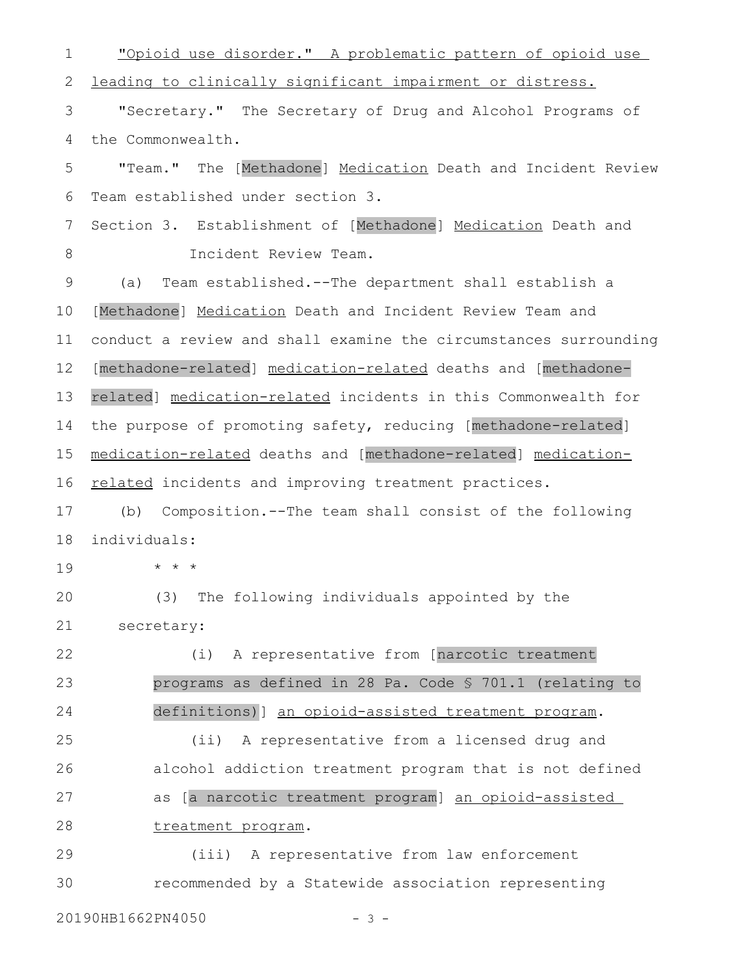"Opioid use disorder." A problematic pattern of opioid use leading to clinically significant impairment or distress. "Secretary." The Secretary of Drug and Alcohol Programs of the Commonwealth. "Team." The [Methadone] Medication Death and Incident Review Team established under section 3. Section 3. Establishment of [Methadone] Medication Death and Incident Review Team. (a) Team established.--The department shall establish a [Methadone] Medication Death and Incident Review Team and conduct a review and shall examine the circumstances surrounding [methadone-related] medication-related deaths and [methadonerelated] medication-related incidents in this Commonwealth for the purpose of promoting safety, reducing [methadone-related] medication-related deaths and [methadone-related] medicationrelated incidents and improving treatment practices. (b) Composition.--The team shall consist of the following individuals: \* \* \* (3) The following individuals appointed by the secretary: (i) A representative from [narcotic treatment programs as defined in 28 Pa. Code § 701.1 (relating to definitions)] an opioid-assisted treatment program. (ii) A representative from a licensed drug and alcohol addiction treatment program that is not defined as [a narcotic treatment program] an opioid-assisted treatment program. (iii) A representative from law enforcement recommended by a Statewide association representing 1 2 3 4 5 6 7 8 9 10 11 12 13 14 15 16 17 18 19 20 21 22 23 24 25 26 27 28 29 30

20190HB1662PN4050 - 3 -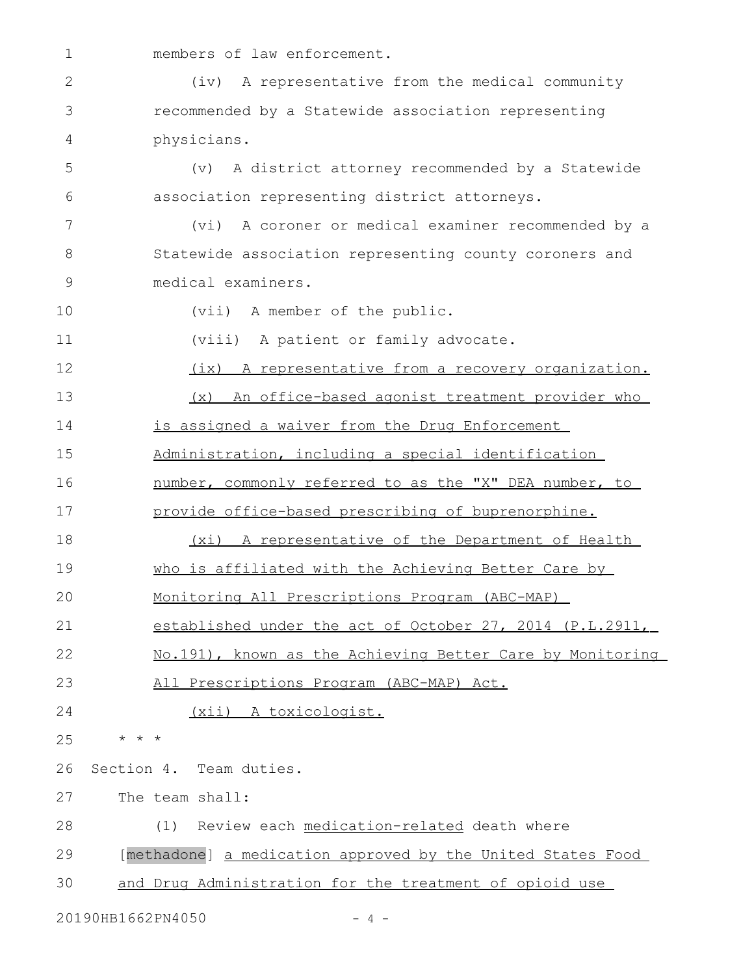law enforcement.

| $\mathbf{2}$ | A representative from the medical community<br>$(i\nu)$     |
|--------------|-------------------------------------------------------------|
| 3            | recommended by a Statewide association representing         |
| 4            | physicians.                                                 |
| 5            | A district attorney recommended by a Statewide<br>(v)       |
| 6            | association representing district attorneys.                |
| 7            | A coroner or medical examiner recommended by a<br>(vi)      |
| 8            | Statewide association representing county coroners and      |
| 9            | medical examiners.                                          |
| 10           | (vii) A member of the public.                               |
| 11           | (viii) A patient or family advocate.                        |
| 12           | (ix) A representative from a recovery organization.         |
| 13           | An office-based agonist treatment provider who<br>(x)       |
| 14           | is assigned a waiver from the Drug Enforcement              |
| 15           | Administration, including a special identification          |
| 16           | number, commonly referred to as the "X" DEA number, to      |
| 17           | provide office-based prescribing of buprenorphine.          |
| 18           | (xi) A representative of the Department of Health           |
| 19           | who is affiliated with the Achieving Better Care by         |
| 20           | Monitoring All Prescriptions Program (ABC-MAP)              |
| 21           | established under the act of October 27, 2014 (P.L.2911,    |
| 22           | No.191), known as the Achieving Better Care by Monitoring   |
| 23           | All Prescriptions Program (ABC-MAP) Act.                    |
| 24           | (xii) A toxicologist.                                       |
| 25           | * * *                                                       |
| 26           | Section 4. Team duties.                                     |
| 27           | The team shall:                                             |
| 28           | Review each medication-related death where<br>(1)           |
| 29           | [methadone] a medication approved by the United States Food |
| 30           | and Drug Administration for the treatment of opioid use     |
|              |                                                             |

20190HB1662PN4050 - 4 -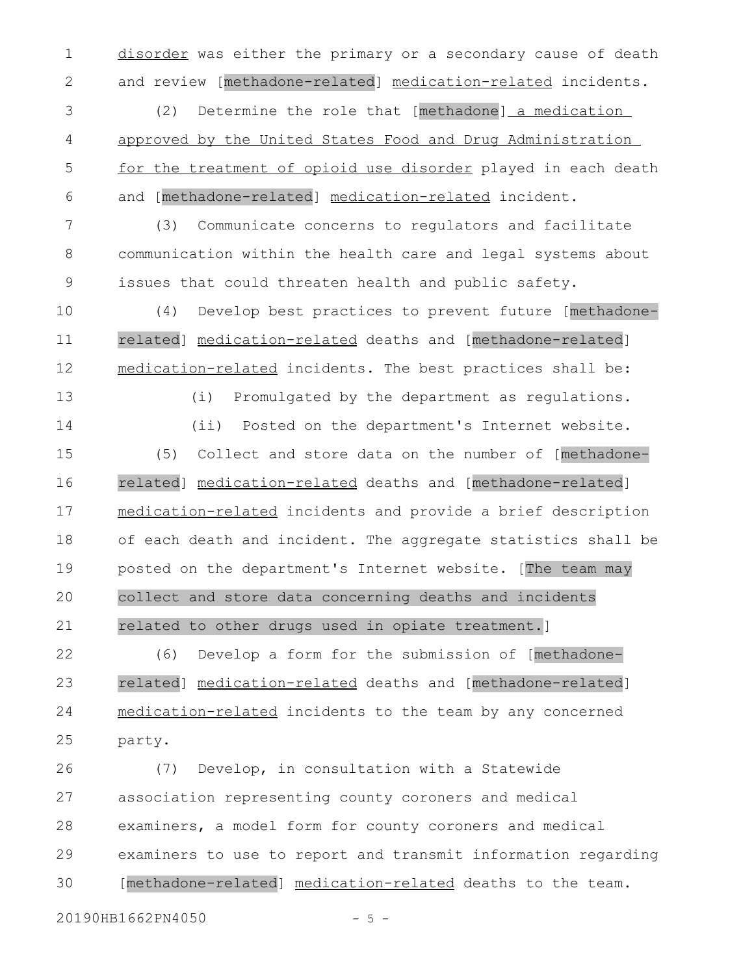disorder was either the primary or a secondary cause of death and review [methadone-related] medication-related incidents. 1 2

(2) Determine the role that [methadone] a medication approved by the United States Food and Drug Administration for the treatment of opioid use disorder played in each death and [methadone-related] medication-related incident. 3 4 5 6

(3) Communicate concerns to regulators and facilitate communication within the health care and legal systems about issues that could threaten health and public safety. 7 8 9

(4) Develop best practices to prevent future [methadonerelated] medication-related deaths and [methadone-related] medication-related incidents. The best practices shall be: 10 11 12

13 14 (i) Promulgated by the department as regulations. (ii) Posted on the department's Internet website.

(5) Collect and store data on the number of [methadonerelated] medication-related deaths and [methadone-related] medication-related incidents and provide a brief description of each death and incident. The aggregate statistics shall be posted on the department's Internet website. [The team may collect and store data concerning deaths and incidents related to other drugs used in opiate treatment.] 15 16 17 18 19 20 21

(6) Develop a form for the submission of [methadonerelated] medication-related deaths and [methadone-related] medication- related incidents to the team by any concerned party. 22 23 24 25

(7) Develop, in consultation with a Statewide association representing county coroners and medical examiners, a model form for county coroners and medical examiners to use to report and transmit information regarding [methadone-related] medication- related deaths to the team. 26 27 28 29 30

20190HB1662PN4050 - 5 -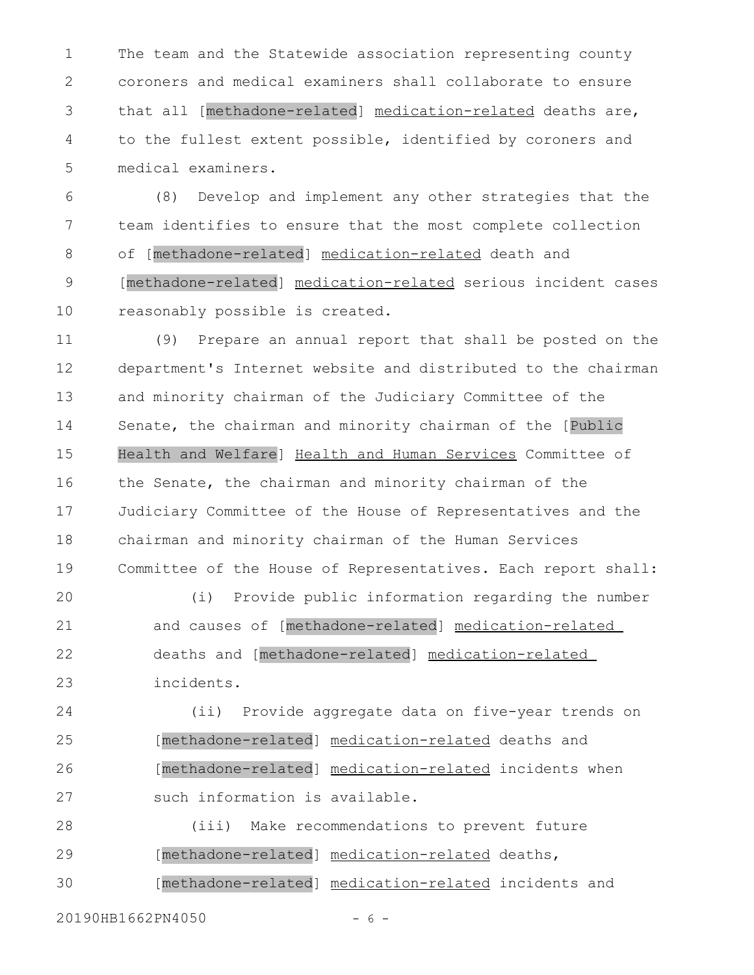The team and the Statewide association representing county coroners and medical examiners shall collaborate to ensure that all [methadone-related] medication-related deaths are, to the fullest extent possible, identified by coroners and medical examiners. 1 2 3 4 5

(8) Develop and implement any other strategies that the team identifies to ensure that the most complete collection of [methadone-related] medication-related death and [methadone-related] medication-related serious incident cases reasonably possible is created. 6 7 8 9 10

(9) Prepare an annual report that shall be posted on the department's Internet website and distributed to the chairman and minority chairman of the Judiciary Committee of the Senate, the chairman and minority chairman of the [Public Health and Welfare] Health and Human Services Committee of the Senate, the chairman and minority chairman of the Judiciary Committee of the House of Representatives and the chairman and minority chairman of the Human Services Committee of the House of Representatives. Each report shall: 11 12 13 14 15 16 17 18 19

(i) Provide public information regarding the number and causes of [methadone-related] medication-related deaths and [methadone-related] medication-related incidents. 20 21 22 23

(ii) Provide aggregate data on five-year trends on [methadone-related] medication-related deaths and [methadone-related] medication-related incidents when such information is available. 24 25 26 27

(iii) Make recommendations to prevent future [methadone-related] medication-related deaths, [methadone-related] medication-related incidents and 28 29 30

20190HB1662PN4050 - 6 -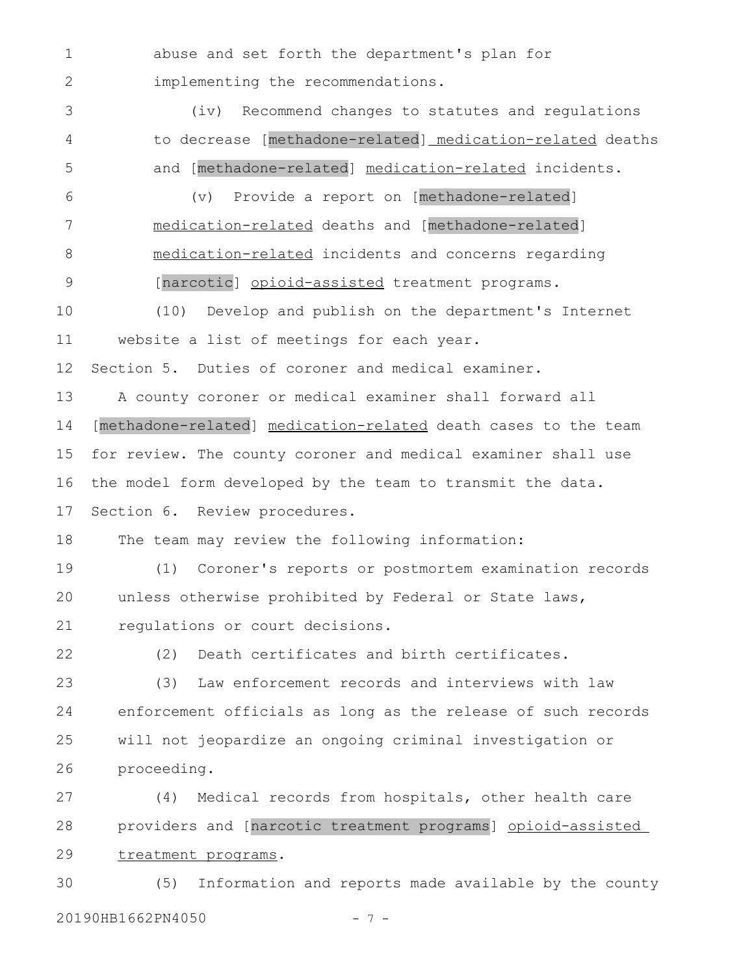abuse and set forth the department's plan for implementing the recommendations. 1 2

(iv) Recommend changes to statutes and regulations to decrease [methadone-related] medication-related deaths and [methadone-related] medication-related incidents. 3 4 5

(v) Provide a report on [methadone-related] medication-related deaths and [methadone-related] medication-related incidents and concerns regarding [narcotic] opioid-assisted treatment programs. 6 7 8 9

(10) Develop and publish on the department's Internet website a list of meetings for each year. 10 11

Section 5. Duties of coroner and medical examiner. 12

A county coroner or medical examiner shall forward all [methadone-related] medication-related death cases to the team for review. The county coroner and medical examiner shall use the model form developed by the team to transmit the data. Section 6. Review procedures. 13 14 15 16 17

The team may review the following information: 18

(1) Coroner's reports or postmortem examination records unless otherwise prohibited by Federal or State laws, regulations or court decisions. 19 20 21

22

(2) Death certificates and birth certificates.

(3) Law enforcement records and interviews with law enforcement officials as long as the release of such records will not jeopardize an ongoing criminal investigation or proceeding. 23 24 25 26

(4) Medical records from hospitals, other health care providers and [narcotic treatment programs] opioid-assisted treatment programs. 27 28 29

(5) Information and reports made available by the county 20190HB1662PN4050 - 7 - 30